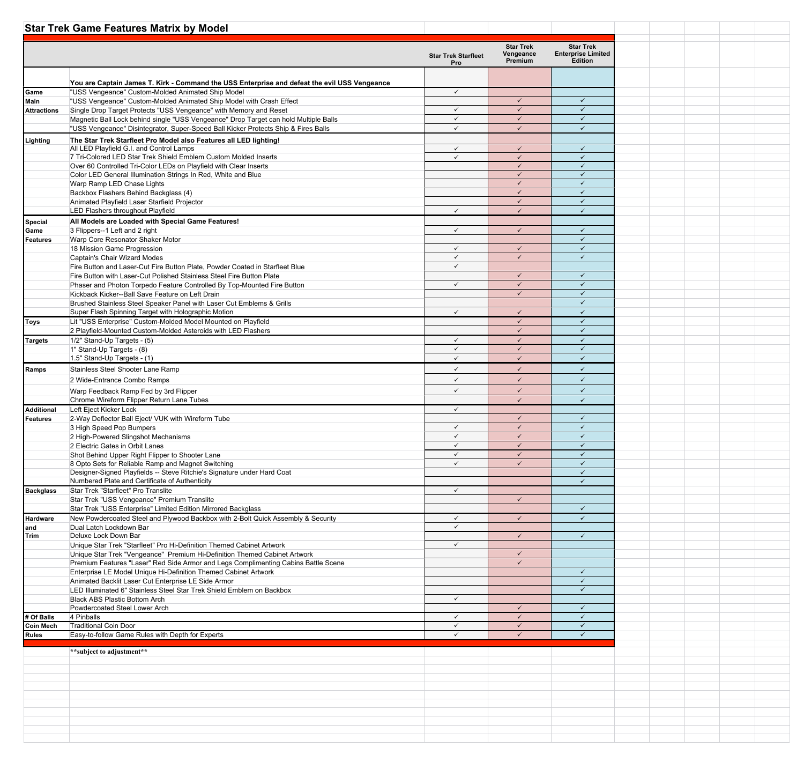|                    | <b>Star Trek Game Features Matrix by Model</b>                                                                                                                  |                                          |                              |                                             |  |  |  |
|--------------------|-----------------------------------------------------------------------------------------------------------------------------------------------------------------|------------------------------------------|------------------------------|---------------------------------------------|--|--|--|
|                    |                                                                                                                                                                 |                                          | <b>Star Trek</b>             | <b>Star Trek</b>                            |  |  |  |
|                    |                                                                                                                                                                 | <b>Star Trek Starfleet</b><br><b>Pro</b> | Vengeance<br>Premium         | <b>Enterprise Limited</b><br><b>Edition</b> |  |  |  |
|                    |                                                                                                                                                                 |                                          |                              |                                             |  |  |  |
| Game               | You are Captain James T. Kirk - Command the USS Enterprise and defeat the evil USS Vengeance<br>"USS Vengeance" Custom-Molded Animated Ship Model               | ✓                                        |                              |                                             |  |  |  |
| Main               | "USS Vengeance" Custom-Molded Animated Ship Model with Crash Effect                                                                                             |                                          | $\cdot$                      |                                             |  |  |  |
| <b>Attractions</b> | Single Drop Target Protects "USS Vengeance" with Memory and Reset                                                                                               | $\checkmark$                             | $\checkmark$                 |                                             |  |  |  |
|                    | Magnetic Ball Lock behind single "USS Vengeance" Drop Target can hold Multiple Balls                                                                            | $\checkmark$                             | $\checkmark$                 | $\checkmark$                                |  |  |  |
|                    | "USS Vengeance" Disintegrator, Super-Speed Ball Kicker Protects Ship & Fires Balls                                                                              | $\checkmark$                             | $\checkmark$                 | $\checkmark$                                |  |  |  |
| Lighting           | The Star Trek Starfleet Pro Model also Features all LED lighting!<br>All LED Playfield G.I. and Control Lamps                                                   | $\checkmark$                             | $\checkmark$                 | $\checkmark$                                |  |  |  |
|                    | 7 Tri-Colored LED Star Trek Shield Emblem Custom Molded Inserts                                                                                                 | $\checkmark$                             | $\checkmark$                 | $\checkmark$                                |  |  |  |
|                    | Over 60 Controlled Tri-Color LEDs on Playfield with Clear Inserts                                                                                               |                                          | $\checkmark$                 | $\checkmark$                                |  |  |  |
|                    | Color LED General Illumination Strings In Red, White and Blue                                                                                                   |                                          | $\checkmark$<br>$\checkmark$ | $\checkmark$                                |  |  |  |
|                    | Warp Ramp LED Chase Lights<br>Backbox Flashers Behind Backglass (4)                                                                                             |                                          | $\checkmark$                 | $\checkmark$                                |  |  |  |
|                    | Animated Playfield Laser Starfield Projector                                                                                                                    |                                          | $\checkmark$                 | $\checkmark$                                |  |  |  |
|                    | LED Flashers throughout Playfield                                                                                                                               | ✓                                        | $\checkmark$                 |                                             |  |  |  |
| Special            | All Models are Loaded with Special Game Features!                                                                                                               |                                          |                              |                                             |  |  |  |
| Game               | 3 Flippers--1 Left and 2 right                                                                                                                                  | $\checkmark$                             | $\checkmark$                 | $\checkmark$<br>$\checkmark$                |  |  |  |
| <b>Features</b>    | Warp Core Resonator Shaker Motor<br>18 Mission Game Progression                                                                                                 | $\checkmark$                             | $\checkmark$                 | $\checkmark$                                |  |  |  |
|                    | <b>Captain's Chair Wizard Modes</b>                                                                                                                             | $\checkmark$                             | $\checkmark$                 | $\checkmark$                                |  |  |  |
|                    | Fire Button and Laser-Cut Fire Button Plate, Powder Coated in Starfleet Blue                                                                                    | $\checkmark$                             |                              |                                             |  |  |  |
|                    | Fire Button with Laser-Cut Polished Stainless Steel Fire Button Plate                                                                                           |                                          | $\checkmark$                 | $\checkmark$                                |  |  |  |
|                    | Phaser and Photon Torpedo Feature Controlled By Top-Mounted Fire Button<br>Kickback Kicker--Ball Save Feature on Left Drain                                     | $\checkmark$                             | $\checkmark$<br>$\checkmark$ | $\checkmark$<br>$\checkmark$                |  |  |  |
|                    | Brushed Stainless Steel Speaker Panel with Laser Cut Emblems & Grills                                                                                           |                                          |                              |                                             |  |  |  |
|                    | Super Flash Spinning Target with Holographic Motion                                                                                                             | $\checkmark$                             | $\checkmark$                 | $\checkmark$                                |  |  |  |
| <b>Toys</b>        | Lit "USS Enterprise" Custom-Molded Model Mounted on Playfield                                                                                                   |                                          | $\checkmark$                 |                                             |  |  |  |
|                    | 2 Playfield-Mounted Custom-Molded Asteroids with LED Flashers                                                                                                   |                                          | $\checkmark$                 |                                             |  |  |  |
| <b>Targets</b>     | 1/2" Stand-Up Targets - (5)                                                                                                                                     | $\checkmark$<br>$\checkmark$             | $\checkmark$<br>$\checkmark$ | $\checkmark$<br>$\checkmark$                |  |  |  |
|                    | 1" Stand-Up Targets - (8)<br>1.5" Stand-Up Targets - (1)                                                                                                        | $\checkmark$                             | $\checkmark$                 | $\checkmark$                                |  |  |  |
| Ramps              | Stainless Steel Shooter Lane Ramp                                                                                                                               | ✓                                        | $\checkmark$                 | ✓                                           |  |  |  |
|                    | 2 Wide-Entrance Combo Ramps                                                                                                                                     | ✓                                        | $\checkmark$                 |                                             |  |  |  |
|                    | Warp Feedback Ramp Fed by 3rd Flipper                                                                                                                           | ✓                                        | $\checkmark$                 | $\checkmark$                                |  |  |  |
|                    | Chrome Wireform Flipper Return Lane Tubes                                                                                                                       |                                          |                              |                                             |  |  |  |
| Additional         | Left Eject Kicker Lock                                                                                                                                          | $\checkmark$                             |                              |                                             |  |  |  |
| Features           | 2-Way Deflector Ball Eject/ VUK with Wireform Tube<br>3 High Speed Pop Bumpers                                                                                  | $\checkmark$                             | $\checkmark$<br>$\checkmark$ | $\checkmark$<br>$\checkmark$                |  |  |  |
|                    | 2 High-Powered Slingshot Mechanisms                                                                                                                             | $\checkmark$                             | $\checkmark$                 | $\checkmark$                                |  |  |  |
|                    | 2 Electric Gates in Orbit Lanes                                                                                                                                 | $\checkmark$                             | $\checkmark$                 | $\checkmark$                                |  |  |  |
|                    | Shot Behind Upper Right Flipper to Shooter Lane                                                                                                                 | ✓                                        | $\checkmark$                 |                                             |  |  |  |
|                    | 8 Opto Sets for Reliable Ramp and Magnet Switching<br>Designer-Signed Playfields -- Steve Ritchie's Signature under Hard Coat                                   | $\checkmark$                             | $\checkmark$                 | $\checkmark$                                |  |  |  |
|                    | Numbered Plate and Certificate of Authenticity                                                                                                                  |                                          |                              |                                             |  |  |  |
| Backglass          | Star Trek "Starfleet" Pro Translite                                                                                                                             | $\checkmark$                             |                              |                                             |  |  |  |
|                    | Star Trek "USS Vengeance" Premium Translite                                                                                                                     |                                          | $\checkmark$                 |                                             |  |  |  |
| Hardware           | Star Trek "USS Enterprise" Limited Edition Mirrored Backglass<br>New Powdercoated Steel and Plywood Backbox with 2-Bolt Quick Assembly & Security               | ✓                                        |                              | $\checkmark$                                |  |  |  |
| and                | Dual Latch Lockdown Bar                                                                                                                                         | $\checkmark$                             |                              |                                             |  |  |  |
| Trim               | Deluxe Lock Down Bar                                                                                                                                            |                                          |                              |                                             |  |  |  |
|                    | Unique Star Trek "Starfleet" Pro Hi-Definition Themed Cabinet Artwork                                                                                           | ✓                                        |                              |                                             |  |  |  |
|                    | Unique Star Trek "Vengeance" Premium Hi-Definition Themed Cabinet Artwork<br>Premium Features "Laser" Red Side Armor and Legs Complimenting Cabins Battle Scene |                                          | $\checkmark$<br>$\checkmark$ |                                             |  |  |  |
|                    | Enterprise LE Model Unique Hi-Definition Themed Cabinet Artwork                                                                                                 |                                          |                              | ✓                                           |  |  |  |
|                    | Animated Backlit Laser Cut Enterprise LE Side Armor                                                                                                             |                                          |                              |                                             |  |  |  |
|                    | LED Illuminated 6" Stainless Steel Star Trek Shield Emblem on Backbox                                                                                           |                                          |                              |                                             |  |  |  |
|                    | <b>Black ABS Plastic Bottom Arch</b><br>Powdercoated Steel Lower Arch                                                                                           | $\checkmark$                             | $\checkmark$                 | $\checkmark$                                |  |  |  |
| # Of Balls         | 4 Pinballs                                                                                                                                                      | ✓                                        | $\checkmark$                 |                                             |  |  |  |
| Coin Mech          | <b>Traditional Coin Door</b>                                                                                                                                    | $\checkmark$                             | $\checkmark$                 |                                             |  |  |  |
| Rules              | Easy-to-follow Game Rules with Depth for Experts                                                                                                                | ✓                                        | $\checkmark$                 |                                             |  |  |  |
|                    | **subject to adjustment**                                                                                                                                       |                                          |                              |                                             |  |  |  |
|                    |                                                                                                                                                                 |                                          |                              |                                             |  |  |  |
|                    |                                                                                                                                                                 |                                          |                              |                                             |  |  |  |
|                    |                                                                                                                                                                 |                                          |                              |                                             |  |  |  |
|                    |                                                                                                                                                                 |                                          |                              |                                             |  |  |  |
|                    |                                                                                                                                                                 |                                          |                              |                                             |  |  |  |
|                    |                                                                                                                                                                 |                                          |                              |                                             |  |  |  |
|                    |                                                                                                                                                                 |                                          |                              |                                             |  |  |  |
|                    |                                                                                                                                                                 |                                          |                              |                                             |  |  |  |